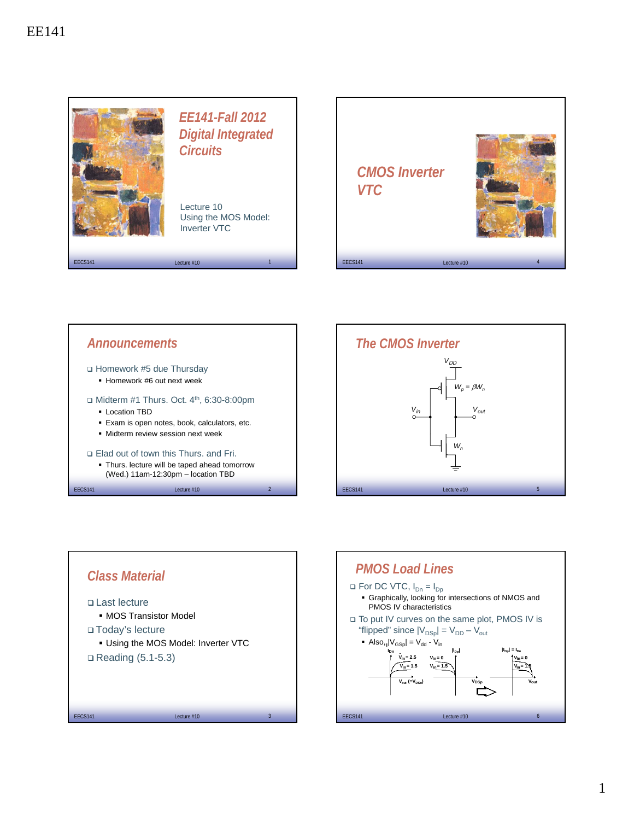









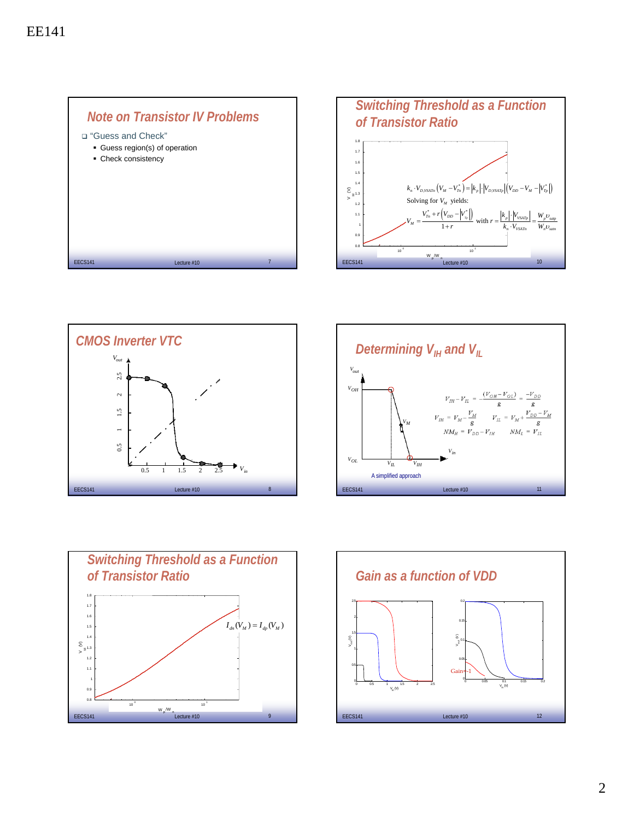